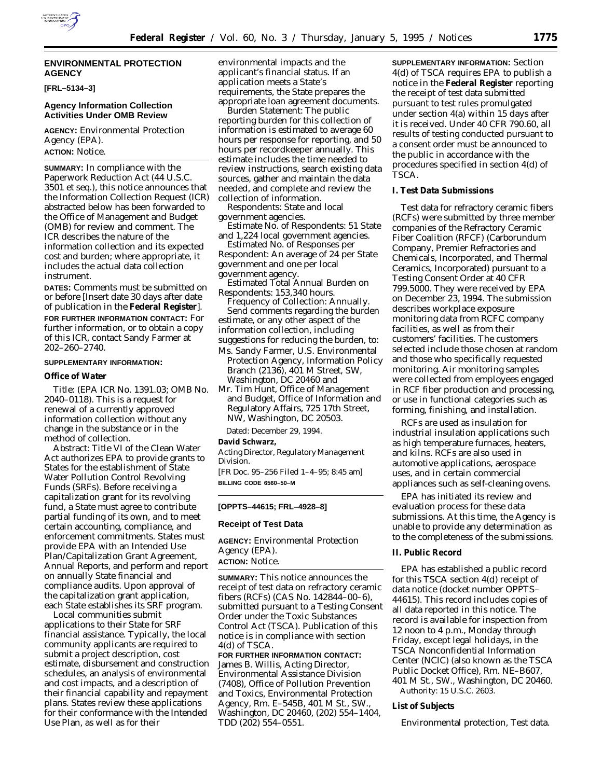

## **ENVIRONMENTAL PROTECTION AGENCY**

**[FRL–5134–3]**

## **Agency Information Collection Activities Under OMB Review**

**AGENCY:** Environmental Protection Agency (EPA). **ACTION:** Notice.

**SUMMARY:** In compliance with the Paperwork Reduction Act (44 U.S.C. 3501 *et seq.*), this notice announces that the Information Collection Request (ICR) abstracted below has been forwarded to the Office of Management and Budget (OMB) for review and comment. The ICR describes the nature of the information collection and its expected cost and burden; where appropriate, it includes the actual data collection instrument.

**DATES:** Comments must be submitted on or before [Insert date 30 days after date of publication in the **Federal Register**]. **FOR FURTHER INFORMATION CONTACT:** For further information, or to obtain a copy of this ICR, contact Sandy Farmer at 202–260–2740.

### **SUPPLEMENTARY INFORMATION:**

## **Office of Water**

Title: (EPA ICR No. 1391.03; OMB No. 2040–0118). This is a request for renewal of a currently approved information collection without any change in the substance or in the method of collection.

Abstract: Title VI of the Clean Water Act authorizes EPA to provide grants to States for the establishment of State Water Pollution Control Revolving Funds (SRFs). Before receiving a capitalization grant for its revolving fund, a State must agree to contribute partial funding of its own, and to meet certain accounting, compliance, and enforcement commitments. States must provide EPA with an Intended Use Plan/Capitalization Grant Agreement, Annual Reports, and perform and report on annually State financial and compliance audits. Upon approval of the capitalization grant application, each State establishes its SRF program.

Local communities submit applications to their State for SRF financial assistance. Typically, the local community applicants are required to submit a project description, cost estimate, disbursement and construction schedules, an analysis of environmental and cost impacts, and a description of their financial capability and repayment plans. States review these applications for their conformance with the Intended Use Plan, as well as for their

environmental impacts and the applicant's financial status. If an application meets a State's requirements, the State prepares the appropriate loan agreement documents.

Burden Statement: The public reporting burden for this collection of information is estimated to average 60 hours per response for reporting, and 50 hours per recordkeeper annually. This estimate includes the time needed to review instructions, search existing data sources, gather and maintain the data needed, and complete and review the collection of information.

Respondents: State and local government agencies.

Estimate No. of Respondents: 51 State and 1,224 local government agencies.

Estimated No. of Responses per Respondent: An average of 24 per State government and one per local government agency.

Estimated Total Annual Burden on Respondents: 153,340 hours.

Frequency of Collection: Annually. Send comments regarding the burden estimate, or any other aspect of the information collection, including suggestions for reducing the burden, to:

- Ms. Sandy Farmer, U.S. Environmental Protection Agency, Information Policy Branch (2136), 401 M Street, SW, Washington, DC 20460 and
- Mr. Tim Hunt, Office of Management and Budget, Office of Information and Regulatory Affairs, 725 17th Street, NW, Washington, DC 20503.

Dated: December 29, 1994.

### **David Schwarz,**

*Acting Director, Regulatory Management Division.*

[FR Doc. 95–256 Filed 1–4–95; 8:45 am] **BILLING CODE 6560–50–M**

### **[OPPTS–44615; FRL–4928–8]**

## **Receipt of Test Data**

**AGENCY:** Environmental Protection Agency (EPA).

# **ACTION:** Notice.

**SUMMARY:** This notice announces the receipt of test data on refractory ceramic fibers (RCFs) (CAS No. 142844–00–6), submitted pursuant to a Testing Consent Order under the Toxic Substances Control Act (TSCA). Publication of this notice is in compliance with section 4(d) of TSCA.

**FOR FURTHER INFORMATION CONTACT:** James B. Willis, Acting Director, Environmental Assistance Division (7408), Office of Pollution Prevention and Toxics, Environmental Protection Agency, Rm. E–545B, 401 M St., SW., Washington, DC 20460, (202) 554–1404, TDD (202) 554–0551.

**SUPPLEMENTARY INFORMATION:** Section 4(d) of TSCA requires EPA to publish a notice in the **Federal Register** reporting the receipt of test data submitted pursuant to test rules promulgated under section 4(a) within 15 days after it is received. Under 40 CFR 790.60, all results of testing conducted pursuant to a consent order must be announced to the public in accordance with the procedures specified in section 4(d) of TSCA.

## **I. Test Data Submissions**

Test data for refractory ceramic fibers (RCFs) were submitted by three member companies of the Refractory Ceramic Fiber Coalition (RFCF) (Carborundum Company, Premier Refractories and Chemicals, Incorporated, and Thermal Ceramics, Incorporated) pursuant to a Testing Consent Order at 40 CFR 799.5000. They were received by EPA on December 23, 1994. The submission describes workplace exposure monitoring data from RCFC company facilities, as well as from their customers' facilities. The customers selected include those chosen at random and those who specifically requested monitoring. Air monitoring samples were collected from employees engaged in RCF fiber production and processing, or use in functional categories such as forming, finishing, and installation.

RCFs are used as insulation for industrial insulation applications such as high temperature furnaces, heaters, and kilns. RCFs are also used in automotive applications, aerospace uses, and in certain commercial appliances such as self-cleaning ovens.

EPA has initiated its review and evaluation process for these data submissions. At this time, the Agency is unable to provide any determination as to the completeness of the submissions.

### **II. Public Record**

EPA has established a public record for this TSCA section 4(d) receipt of data notice (docket number OPPTS– 44615). This record includes copies of all data reported in this notice. The record is available for inspection from 12 noon to 4 p.m., Monday through Friday, except legal holidays, in the TSCA Nonconfidential Information Center (NCIC) (also known as the TSCA Public Docket Office), Rm. NE–B607, 401 M St., SW., Washington, DC 20460. Authority: 15 U.S.C. 2603.

## **List of Subjects**

Environmental protection, Test data.